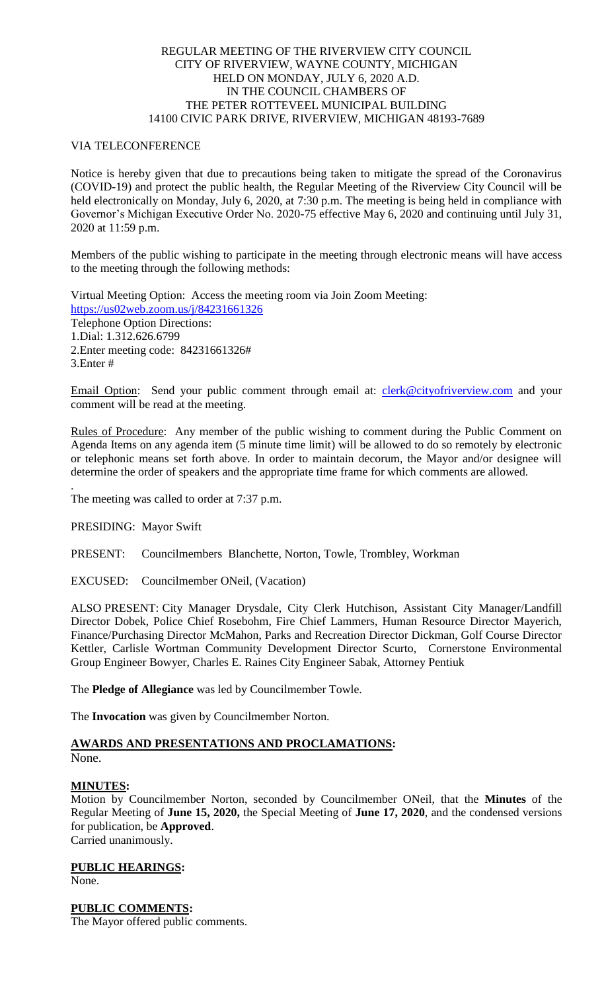## REGULAR MEETING OF THE RIVERVIEW CITY COUNCIL CITY OF RIVERVIEW, WAYNE COUNTY, MICHIGAN HELD ON MONDAY, JULY 6, 2020 A.D. IN THE COUNCIL CHAMBERS OF THE PETER ROTTEVEEL MUNICIPAL BUILDING 14100 CIVIC PARK DRIVE, RIVERVIEW, MICHIGAN 48193-7689

## VIA TELECONFERENCE

Notice is hereby given that due to precautions being taken to mitigate the spread of the Coronavirus (COVID-19) and protect the public health, the Regular Meeting of the Riverview City Council will be held electronically on Monday, July 6, 2020, at 7:30 p.m. The meeting is being held in compliance with Governor's Michigan Executive Order No. 2020-75 effective May 6, 2020 and continuing until July 31, 2020 at 11:59 p.m.

Members of the public wishing to participate in the meeting through electronic means will have access to the meeting through the following methods:

Virtual Meeting Option: Access the meeting room via Join Zoom Meeting: [https://us02web.zoom.us/j/84231661326](https://www.google.com/url?q=https%3A%2F%2Fus02web.zoom.us%2Fj%2F84231661326&sa=D&ust=1594120132115000&usg=AOvVaw0KxjreStd-mVEXfpXfdS0X) Telephone Option Directions: 1.Dial: 1.312.626.6799 2.Enter meeting code: 84231661326# 3.Enter #

Email Option: Send your public comment through email at: [clerk@cityofriverview.com](mailto:clerk@cityofriverview.com) and your comment will be read at the meeting.

Rules of Procedure: Any member of the public wishing to comment during the Public Comment on Agenda Items on any agenda item (5 minute time limit) will be allowed to do so remotely by electronic or telephonic means set forth above. In order to maintain decorum, the Mayor and/or designee will determine the order of speakers and the appropriate time frame for which comments are allowed.

The meeting was called to order at 7:37 p.m.

PRESIDING: Mayor Swift

PRESENT: Councilmembers Blanchette, Norton, Towle, Trombley, Workman

EXCUSED: Councilmember ONeil, (Vacation)

ALSO PRESENT: City Manager Drysdale, City Clerk Hutchison, Assistant City Manager/Landfill Director Dobek, Police Chief Rosebohm, Fire Chief Lammers, Human Resource Director Mayerich, Finance/Purchasing Director McMahon, Parks and Recreation Director Dickman, Golf Course Director Kettler, Carlisle Wortman Community Development Director Scurto, Cornerstone Environmental Group Engineer Bowyer, Charles E. Raines City Engineer Sabak, Attorney Pentiuk

The **Pledge of Allegiance** was led by Councilmember Towle.

The **Invocation** was given by Councilmember Norton.

# **AWARDS AND PRESENTATIONS AND PROCLAMATIONS:**

None.

.

### **MINUTES:**

Motion by Councilmember Norton, seconded by Councilmember ONeil, that the **Minutes** of the Regular Meeting of **June 15, 2020,** the Special Meeting of **June 17, 2020**, and the condensed versions for publication, be **Approved**. Carried unanimously.

**PUBLIC HEARINGS:** None.

**PUBLIC COMMENTS:**

The Mayor offered public comments.